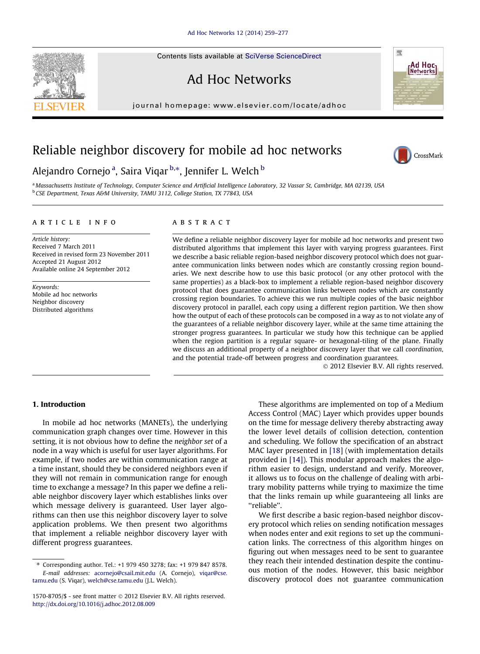Contents lists available at [SciVerse ScienceDirect](http://www.sciencedirect.com/science/journal/15708705)

## Ad Hoc Networks

journal homepage: [www.elsevier.com/locate/adhoc](http://www.elsevier.com/locate/adhoc)

## Reliable neighbor discovery for mobile ad hoc networks

### Alejandro Cornejo <sup>a</sup>, Saira Viqar <sup>b,</sup>\*, Jennifer L. Welch <sup>b</sup>

a Massachusetts Institute of Technology, Computer Science and Artificial Intelligence Laboratory, 32 Vassar St, Cambridge, MA 02139, USA <sup>b</sup> CSE Department, Texas A&M University, TAMU 3112, College Station, TX 77843, USA

#### article info

Article history: Received 7 March 2011 Received in revised form 23 November 2011 Accepted 21 August 2012 Available online 24 September 2012

Keywords: Mobile ad hoc networks Neighbor discovery Distributed algorithms

#### **ABSTRACT**

We define a reliable neighbor discovery layer for mobile ad hoc networks and present two distributed algorithms that implement this layer with varying progress guarantees. First we describe a basic reliable region-based neighbor discovery protocol which does not guarantee communication links between nodes which are constantly crossing region boundaries. We next describe how to use this basic protocol (or any other protocol with the same properties) as a black-box to implement a reliable region-based neighbor discovery protocol that does guarantee communication links between nodes which are constantly crossing region boundaries. To achieve this we run multiple copies of the basic neighbor discovery protocol in parallel, each copy using a different region partition. We then show how the output of each of these protocols can be composed in a way as to not violate any of the guarantees of a reliable neighbor discovery layer, while at the same time attaining the stronger progress guarantees. In particular we study how this technique can be applied when the region partition is a regular square- or hexagonal-tiling of the plane. Finally we discuss an additional property of a neighbor discovery layer that we call coordination, and the potential trade-off between progress and coordination guarantees.

- 2012 Elsevier B.V. All rights reserved.

#### 1. Introduction

In mobile ad hoc networks (MANETs), the underlying communication graph changes over time. However in this setting, it is not obvious how to define the neighbor set of a node in a way which is useful for user layer algorithms. For example, if two nodes are within communication range at a time instant, should they be considered neighbors even if they will not remain in communication range for enough time to exchange a message? In this paper we define a reliable neighbor discovery layer which establishes links over which message delivery is guaranteed. User layer algorithms can then use this neighbor discovery layer to solve application problems. We then present two algorithms that implement a reliable neighbor discovery layer with different progress guarantees.

These algorithms are implemented on top of a Medium Access Control (MAC) Layer which provides upper bounds on the time for message delivery thereby abstracting away the lower level details of collision detection, contention and scheduling. We follow the specification of an abstract MAC layer presented in [\[18\]](#page--1-0) (with implementation details provided in [\[14\]\)](#page--1-0). This modular approach makes the algorithm easier to design, understand and verify. Moreover, it allows us to focus on the challenge of dealing with arbitrary mobility patterns while trying to maximize the time that the links remain up while guaranteeing all links are ''reliable''.

We first describe a basic region-based neighbor discovery protocol which relies on sending notification messages when nodes enter and exit regions to set up the communication links. The correctness of this algorithm hinges on figuring out when messages need to be sent to guarantee they reach their intended destination despite the continuous motion of the nodes. However, this basic neighbor discovery protocol does not guarantee communication





**Ad Hoc**<br>INetworksl

嚮



<sup>⇑</sup> Corresponding author. Tel.: +1 979 450 3278; fax: +1 979 847 8578. E-mail addresses: [acornejo@csail.mit.edu](mailto:acornejo@csail.mit.edu) (A. Cornejo), [viqar@cse.](mailto:viqar@cse. tamu.edu) [tamu.edu](mailto:viqar@cse. tamu.edu) (S. Viqar), [welch@cse.tamu.edu](mailto:welch@cse.tamu.edu) (J.L. Welch).

<sup>1570-8705/\$ -</sup> see front matter © 2012 Elsevier B.V. All rights reserved. <http://dx.doi.org/10.1016/j.adhoc.2012.08.009>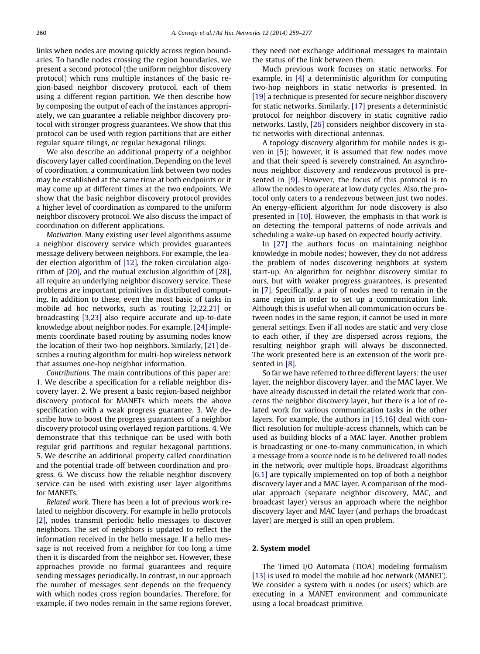links when nodes are moving quickly across region boundaries. To handle nodes crossing the region boundaries, we present a second protocol (the uniform neighbor discovery protocol) which runs multiple instances of the basic region-based neighbor discovery protocol, each of them using a different region partition. We then describe how by composing the output of each of the instances appropriately, we can guarantee a reliable neighbor discovery protocol with stronger progress guarantees. We show that this protocol can be used with region partitions that are either regular square tilings, or regular hexagonal tilings.

We also describe an additional property of a neighbor discovery layer called coordination. Depending on the level of coordination, a communication link between two nodes may be established at the same time at both endpoints or it may come up at different times at the two endpoints. We show that the basic neighbor discovery protocol provides a higher level of coordination as compared to the uniform neighbor discovery protocol. We also discuss the impact of coordination on different applications.

Motivation. Many existing user level algorithms assume a neighbor discovery service which provides guarantees message delivery between neighbors. For example, the leader election algorithm of [\[12\]](#page--1-0), the token circulation algorithm of [\[20\],](#page--1-0) and the mutual exclusion algorithm of [\[28\]](#page--1-0), all require an underlying neighbor discovery service. These problems are important primitives in distributed computing. In addition to these, even the most basic of tasks in mobile ad hoc networks, such as routing [\[2,22,21\]](#page--1-0) or broadcasting [\[3,23\]](#page--1-0) also require accurate and up-to-date knowledge about neighbor nodes. For example, [\[24\]](#page--1-0) implements coordinate based routing by assuming nodes know the location of their two-hop neighbors. Similarly, [\[21\]](#page--1-0) describes a routing algorithm for multi-hop wireless network that assumes one-hop neighbor information.

Contributions. The main contributions of this paper are: 1. We describe a specification for a reliable neighbor discovery layer. 2. We present a basic region-based neighbor discovery protocol for MANETs which meets the above specification with a weak progress guarantee. 3. We describe how to boost the progress guarantees of a neighbor discovery protocol using overlayed region partitions. 4. We demonstrate that this technique can be used with both regular grid partitions and regular hexagonal partitions. 5. We describe an additional property called coordination and the potential trade-off between coordination and progress. 6. We discuss how the reliable neighbor discovery service can be used with existing user layer algorithms for MANETs.

Related work. There has been a lot of previous work related to neighbor discovery. For example in hello protocols [\[2\],](#page--1-0) nodes transmit periodic hello messages to discover neighbors. The set of neighbors is updated to reflect the information received in the hello message. If a hello message is not received from a neighbor for too long a time then it is discarded from the neighbor set. However, these approaches provide no formal guarantees and require sending messages periodically. In contrast, in our approach the number of messages sent depends on the frequency with which nodes cross region boundaries. Therefore, for example, if two nodes remain in the same regions forever, they need not exchange additional messages to maintain the status of the link between them.

Much previous work focuses on static networks. For example, in [\[4\]](#page--1-0) a deterministic algorithm for computing two-hop neighbors in static networks is presented. In [\[19\]](#page--1-0) a technique is presented for secure neighbor discovery for static networks. Similarly, [\[17\]](#page--1-0) presents a deterministic protocol for neighbor discovery in static cognitive radio networks. Lastly, [\[26\]](#page--1-0) considers neighbor discovery in static networks with directional antennas.

A topology discovery algorithm for mobile nodes is given in [\[5\];](#page--1-0) however, it is assumed that few nodes move and that their speed is severely constrained. An asynchronous neighbor discovery and rendezvous protocol is presented in [\[9\].](#page--1-0) However, the focus of this protocol is to allow the nodes to operate at low duty cycles. Also, the protocol only caters to a rendezvous between just two nodes. An energy-efficient algorithm for node discovery is also presented in [\[10\]](#page--1-0). However, the emphasis in that work is on detecting the temporal patterns of node arrivals and scheduling a wake-up based on expected hourly activity.

In [\[27\]](#page--1-0) the authors focus on maintaining neighbor knowledge in mobile nodes; however, they do not address the problem of nodes discovering neighbors at system start-up. An algorithm for neighbor discovery similar to ours, but with weaker progress guarantees, is presented in [\[7\].](#page--1-0) Specifically, a pair of nodes need to remain in the same region in order to set up a communication link. Although this is useful when all communication occurs between nodes in the same region, it cannot be used in more general settings. Even if all nodes are static and very close to each other, if they are dispersed across regions, the resulting neighbor graph will always be disconnected. The work presented here is an extension of the work presented in [\[8\].](#page--1-0)

So far we have referred to three different layers: the user layer, the neighbor discovery layer, and the MAC layer. We have already discussed in detail the related work that concerns the neighbor discovery layer, but there is a lot of related work for various communication tasks in the other layers. For example, the authors in [\[15,16\]](#page--1-0) deal with conflict resolution for multiple-access channels, which can be used as building blocks of a MAC layer. Another problem is broadcasting or one-to-many communication, in which a message from a source node is to be delivered to all nodes in the network, over multiple hops. Broadcast algorithms [\[6,1\]](#page--1-0) are typically implemented on top of both a neighbor discovery layer and a MAC layer. A comparison of the modular approach (separate neighbor discovery, MAC, and broadcast layer) versus an approach where the neighbor discovery layer and MAC layer (and perhaps the broadcast layer) are merged is still an open problem.

#### 2. System model

The Timed I/O Automata (TIOA) modeling formalism [\[13\]](#page--1-0) is used to model the mobile ad hoc network (MANET). We consider a system with  $n$  nodes (or users) which are executing in a MANET environment and communicate using a local broadcast primitive.